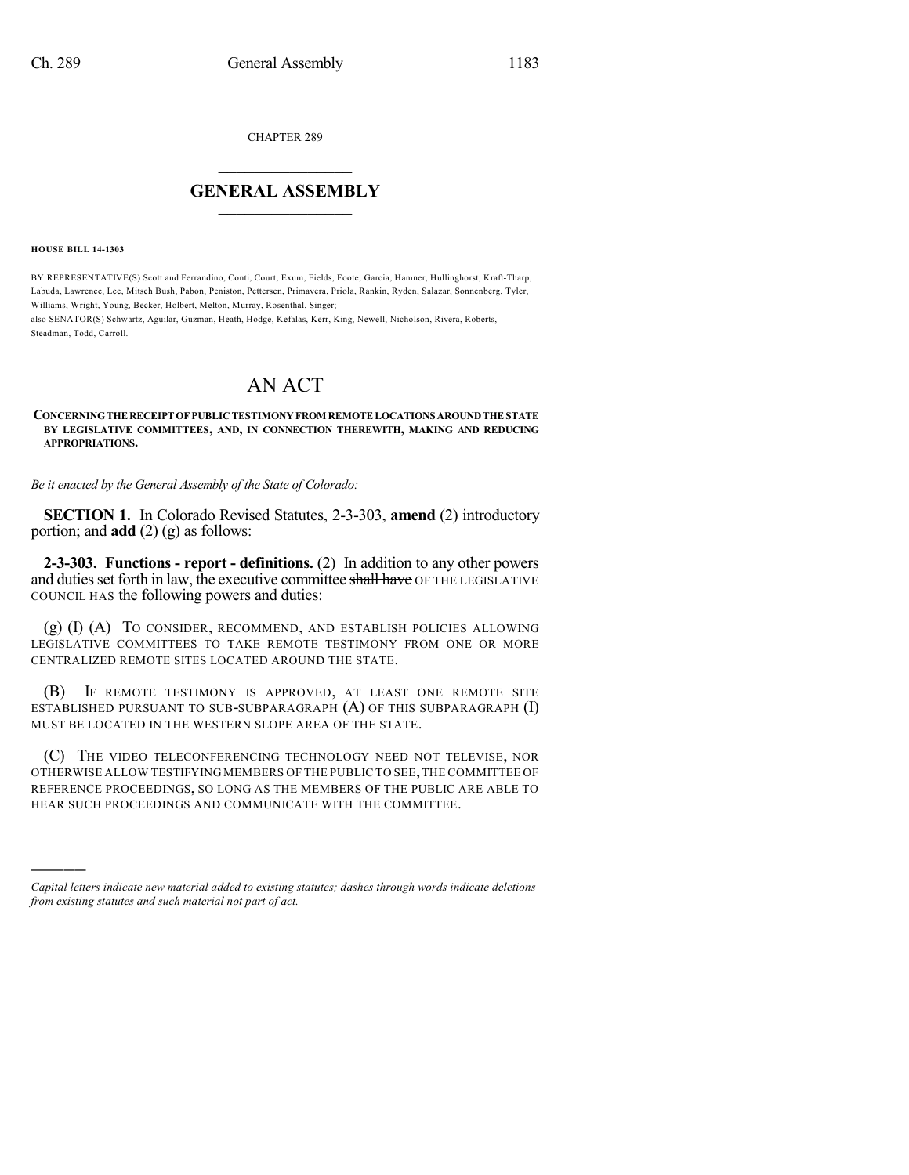CHAPTER 289

## $\mathcal{L}_\text{max}$  . The set of the set of the set of the set of the set of the set of the set of the set of the set of the set of the set of the set of the set of the set of the set of the set of the set of the set of the set **GENERAL ASSEMBLY**  $\frac{1}{\sqrt{2}}$

**HOUSE BILL 14-1303**

)))))

BY REPRESENTATIVE(S) Scott and Ferrandino, Conti, Court, Exum, Fields, Foote, Garcia, Hamner, Hullinghorst, Kraft-Tharp, Labuda, Lawrence, Lee, Mitsch Bush, Pabon, Peniston, Pettersen, Primavera, Priola, Rankin, Ryden, Salazar, Sonnenberg, Tyler, Williams, Wright, Young, Becker, Holbert, Melton, Murray, Rosenthal, Singer;

also SENATOR(S) Schwartz, Aguilar, Guzman, Heath, Hodge, Kefalas, Kerr, King, Newell, Nicholson, Rivera, Roberts, Steadman, Todd, Carroll.

## AN ACT

## **CONCERNINGTHERECEIPTOFPUBLICTESTIMONYFROM REMOTELOCATIONS AROUNDTHESTATE BY LEGISLATIVE COMMITTEES, AND, IN CONNECTION THEREWITH, MAKING AND REDUCING APPROPRIATIONS.**

*Be it enacted by the General Assembly of the State of Colorado:*

**SECTION 1.** In Colorado Revised Statutes, 2-3-303, **amend** (2) introductory portion; and **add** (2) (g) as follows:

**2-3-303. Functions - report - definitions.** (2) In addition to any other powers and duties set forth in law, the executive committee shall have OF THE LEGISLATIVE COUNCIL HAS the following powers and duties:

(g) (I) (A) TO CONSIDER, RECOMMEND, AND ESTABLISH POLICIES ALLOWING LEGISLATIVE COMMITTEES TO TAKE REMOTE TESTIMONY FROM ONE OR MORE CENTRALIZED REMOTE SITES LOCATED AROUND THE STATE.

(B) IF REMOTE TESTIMONY IS APPROVED, AT LEAST ONE REMOTE SITE ESTABLISHED PURSUANT TO SUB-SUBPARAGRAPH (A) OF THIS SUBPARAGRAPH (I) MUST BE LOCATED IN THE WESTERN SLOPE AREA OF THE STATE.

(C) THE VIDEO TELECONFERENCING TECHNOLOGY NEED NOT TELEVISE, NOR OTHERWISE ALLOW TESTIFYING MEMBERS OF THE PUBLIC TO SEE,THE COMMITTEE OF REFERENCE PROCEEDINGS, SO LONG AS THE MEMBERS OF THE PUBLIC ARE ABLE TO HEAR SUCH PROCEEDINGS AND COMMUNICATE WITH THE COMMITTEE.

*Capital letters indicate new material added to existing statutes; dashes through words indicate deletions from existing statutes and such material not part of act.*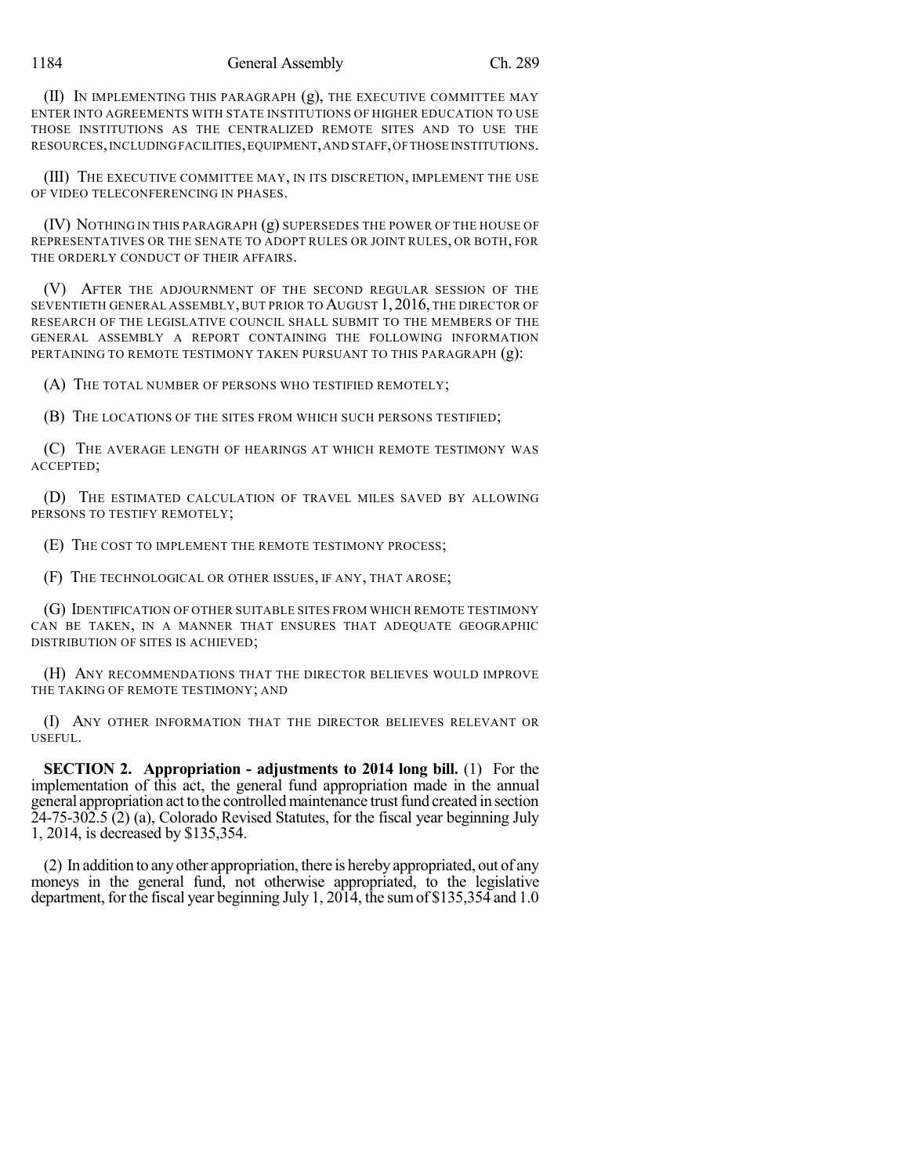(II) IN IMPLEMENTING THIS PARAGRAPH (g), THE EXECUTIVE COMMITTEE MAY ENTER INTO AGREEMENTS WITH STATE INSTITUTIONS OF HIGHER EDUCATION TO USE THOSE INSTITUTIONS AS THE CENTRALIZED REMOTE SITES AND TO USE THE RESOURCES,INCLUDINGFACILITIES,EQUIPMENT,AND STAFF,OFTHOSE INSTITUTIONS.

(III) THE EXECUTIVE COMMITTEE MAY, IN ITS DISCRETION, IMPLEMENT THE USE OF VIDEO TELECONFERENCING IN PHASES.

(IV) NOTHING IN THIS PARAGRAPH (g) SUPERSEDES THE POWER OF THE HOUSE OF REPRESENTATIVES OR THE SENATE TO ADOPT RULES OR JOINT RULES, OR BOTH, FOR THE ORDERLY CONDUCT OF THEIR AFFAIRS.

(V) AFTER THE ADJOURNMENT OF THE SECOND REGULAR SESSION OF THE SEVENTIETH GENERAL ASSEMBLY,BUT PRIOR TO AUGUST 1, 2016, THE DIRECTOR OF RESEARCH OF THE LEGISLATIVE COUNCIL SHALL SUBMIT TO THE MEMBERS OF THE GENERAL ASSEMBLY A REPORT CONTAINING THE FOLLOWING INFORMATION PERTAINING TO REMOTE TESTIMONY TAKEN PURSUANT TO THIS PARAGRAPH (g):

(A) THE TOTAL NUMBER OF PERSONS WHO TESTIFIED REMOTELY;

(B) THE LOCATIONS OF THE SITES FROM WHICH SUCH PERSONS TESTIFIED;

(C) THE AVERAGE LENGTH OF HEARINGS AT WHICH REMOTE TESTIMONY WAS ACCEPTED;

(D) THE ESTIMATED CALCULATION OF TRAVEL MILES SAVED BY ALLOWING PERSONS TO TESTIFY REMOTELY;

(E) THE COST TO IMPLEMENT THE REMOTE TESTIMONY PROCESS;

(F) THE TECHNOLOGICAL OR OTHER ISSUES, IF ANY, THAT AROSE;

(G) IDENTIFICATION OF OTHER SUITABLE SITES FROM WHICH REMOTE TESTIMONY CAN BE TAKEN, IN A MANNER THAT ENSURES THAT ADEQUATE GEOGRAPHIC DISTRIBUTION OF SITES IS ACHIEVED;

(H) ANY RECOMMENDATIONS THAT THE DIRECTOR BELIEVES WOULD IMPROVE THE TAKING OF REMOTE TESTIMONY; AND

(I) ANY OTHER INFORMATION THAT THE DIRECTOR BELIEVES RELEVANT OR USEFUL.

**SECTION 2. Appropriation - adjustments to 2014 long bill.** (1) For the implementation of this act, the general fund appropriation made in the annual general appropriation act to the controlled maintenance trust fund created in section 24-75-302.5 (2) (a), Colorado Revised Statutes, for the fiscal year beginning July 1, 2014, is decreased by \$135,354.

(2) In addition to anyother appropriation, there is hereby appropriated, out of any moneys in the general fund, not otherwise appropriated, to the legislative department, for the fiscal year beginning July 1,  $20\overline{14}$ , the sum of \$135,354 and 1.0